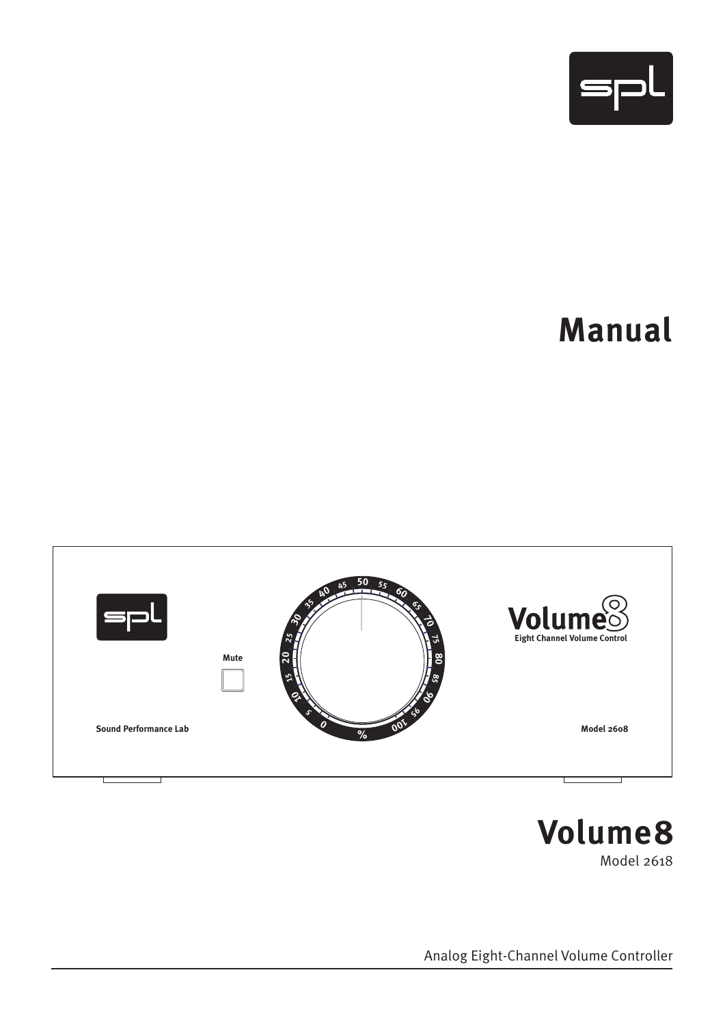

# **Manual**





Analog Eight-Channel Volume Controller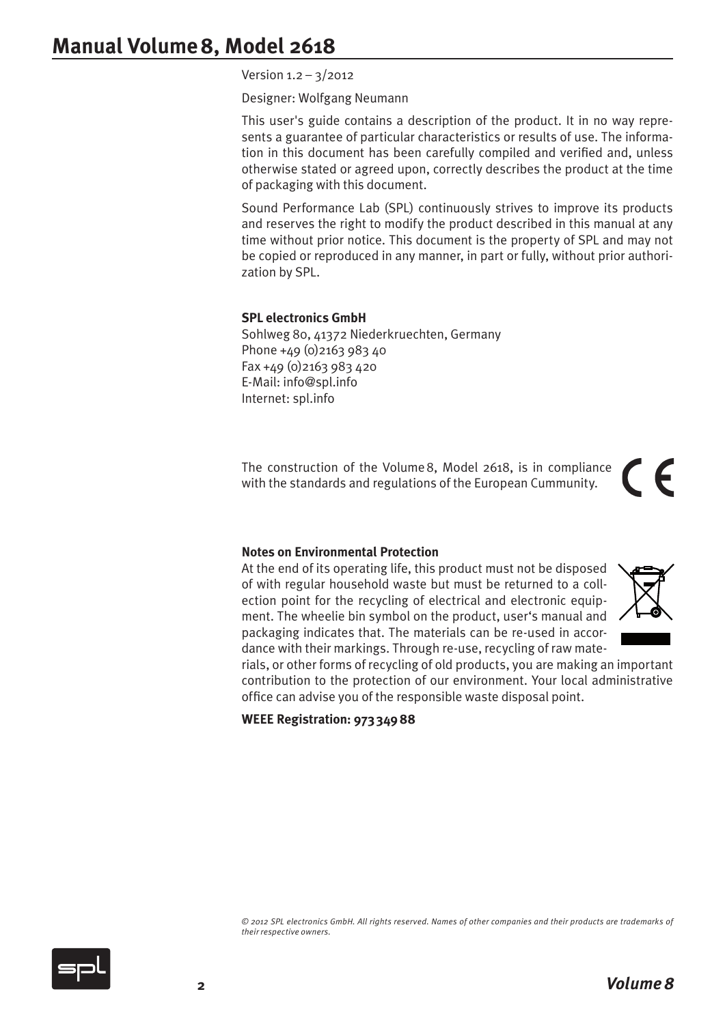# **Manual Volume8, Model 2618**

Version 1.2 – 3/2012

Designer: Wolfgang Neumann

This user's guide contains a description of the product. It in no way represents a guarantee of particular characteristics or results of use. The information in this document has been carefully compiled and verified and, unless otherwise stated or agreed upon, correctly describes the product at the time of packaging with this document.

Sound Performance Lab (SPL) continuously strives to improve its products and reserves the right to modify the product described in this manual at any time without prior notice. This document is the property of SPL and may not be copied or reproduced in any manner, in part or fully, without prior authorization by SPL.

#### **SPL electronics GmbH**

Sohlweg 80, 41372 Niederkruechten, Germany Phone  $+49$  (0) 2163 983 40 Fax +49 (0)2163 983 420 E-Mail: info@spl.info Internet: spl.info

The construction of the Volume8, Model 2618, is in compliance with the standards and regulations of the European Cummunity.

#### **Notes on Environmental Protection**

At the end of its operating life, this product must not be disposed of with regular household waste but must be returned to a collection point for the recycling of electrical and electronic equipment. The wheelie bin symbol on the product, user's manual and packaging indicates that. The materials can be re-used in accordance with their markings. Through re-use, recycling of raw mate-



 $\epsilon$ 

rials, or other forms of recycling of old products, you are making an important contribution to the protection of our environment. Your local administrative office can advise you of the responsible waste disposal point.

**WEEE Registration: 973 34988**

*© 2012 SPL electronics GmbH. All rights reserved. Names of other companies and their products are trademarks of their respective owners.*

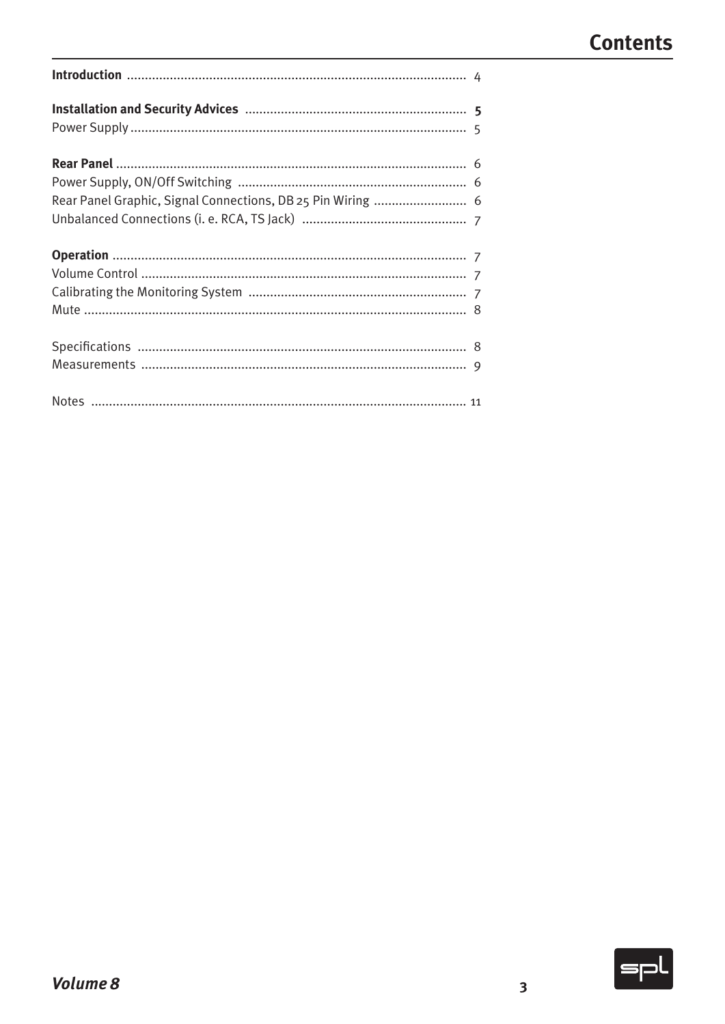| Rear Panel Graphic, Signal Connections, DB 25 Pin Wiring  6 |  |
|-------------------------------------------------------------|--|
|                                                             |  |
|                                                             |  |
|                                                             |  |
|                                                             |  |
|                                                             |  |
|                                                             |  |
|                                                             |  |
|                                                             |  |

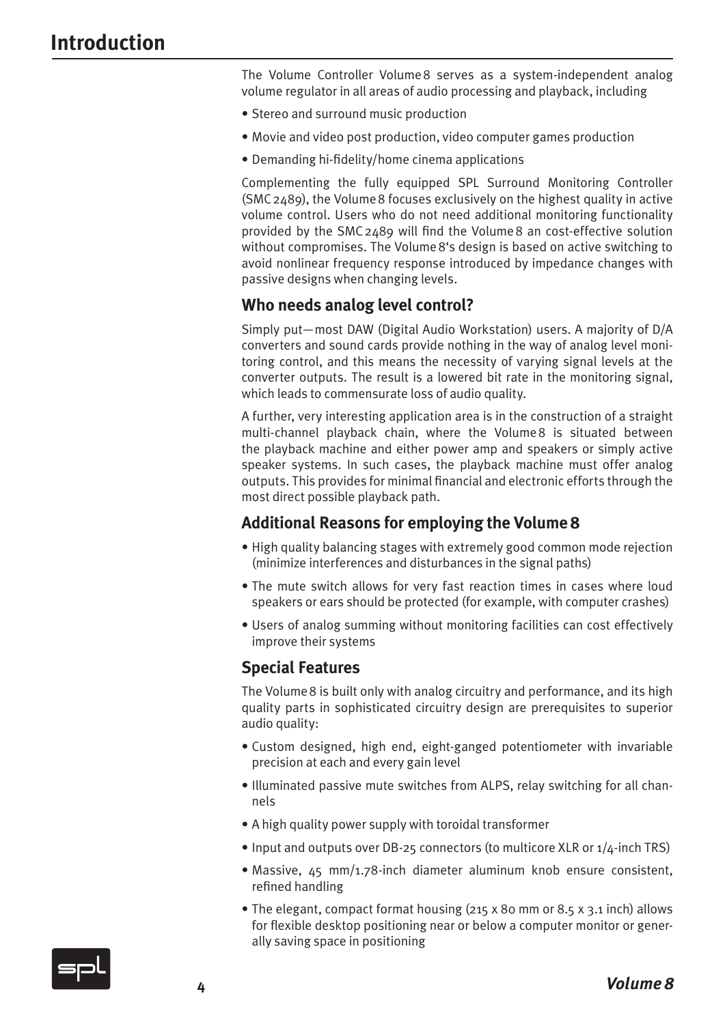The Volume Controller Volume8 serves as a system-independent analog volume regulator in all areas of audio processing and playback, including

- Stereo and surround music production
- Movie and video post production, video computer games production
- Demanding hi-fidelity/home cinema applications

Complementing the fully equipped SPL Surround Monitoring Controller (SMC2489), the Volume8 focuses exclusively on the highest quality in active volume control. Users who do not need additional monitoring functionality provided by the SMC2489 will find the Volume8 an cost-effective solution without compromises. The Volume8's design is based on active switching to avoid nonlinear frequency response introduced by impedance changes with passive designs when changing levels.

#### **Who needs analog level control?**

Simply put—most DAW (Digital Audio Workstation) users. A majority of D/A converters and sound cards provide nothing in the way of analog level monitoring control, and this means the necessity of varying signal levels at the converter outputs. The result is a lowered bit rate in the monitoring signal, which leads to commensurate loss of audio quality.

A further, very interesting application area is in the construction of a straight multi-channel playback chain, where the Volume8 is situated between the playback machine and either power amp and speakers or simply active speaker systems. In such cases, the playback machine must offer analog outputs. This provides for minimal financial and electronic efforts through the most direct possible playback path.

#### **Additional Reasons for employing the Volume8**

- High quality balancing stages with extremely good common mode rejection (minimize interferences and disturbances in the signal paths)
- The mute switch allows for very fast reaction times in cases where loud speakers or ears should be protected (for example, with computer crashes)
- Users of analog summing without monitoring facilities can cost effectively improve their systems

#### **Special Features**

The Volume8 is built only with analog circuitry and performance, and its high quality parts in sophisticated circuitry design are prerequisites to superior audio quality:

- Custom designed, high end, eight-ganged potentiometer with invariable precision at each and every gain level
- Illuminated passive mute switches from ALPS, relay switching for all channels
- A high quality power supply with toroidal transformer
- Input and outputs over DB-25 connectors (to multicore XLR or 1/4-inch TRS)
- Massive, 45 mm/1.78-inch diameter aluminum knob ensure consistent, refined handling
- The elegant, compact format housing (215 x 80 mm or 8.5 x 3.1 inch) allows for flexible desktop positioning near or below a computer monitor or generally saving space in positioning

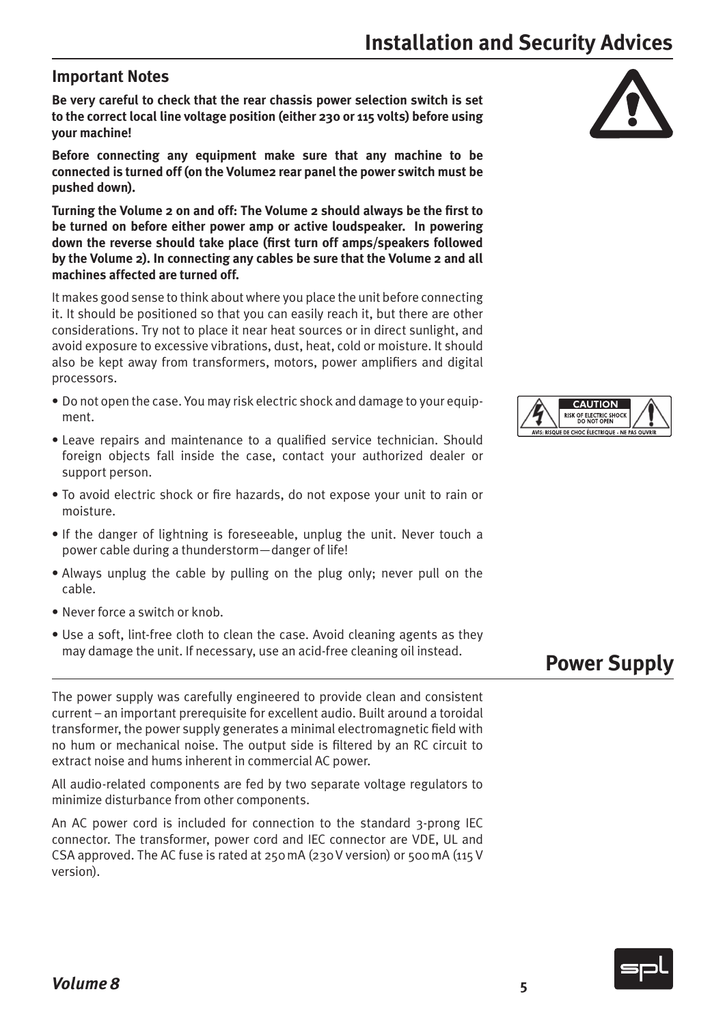#### **Important Notes**

**Be very careful to check that the rear chassis power selection switch is set to the correct local line voltage position (either 230 or 115 volts) before using your machine!**

**Before connecting any equipment make sure that any machine to be connected is turned off (on the Volume2 rear panel the power switch must be pushed down).**

**Turning the Volume 2 on and off: The Volume 2 should always be the first to be turned on before either power amp or active loudspeaker. In powering down the reverse should take place (first turn off amps/speakers followed by the Volume 2). In connecting any cables be sure that the Volume 2 and all machines affected are turned off.**

It makes good sense to think about where you place the unit before connecting it. It should be positioned so that you can easily reach it, but there are other considerations. Try not to place it near heat sources or in direct sunlight, and avoid exposure to excessive vibrations, dust, heat, cold or moisture. It should also be kept away from transformers, motors, power amplifiers and digital processors.

- Do not open the case. You may risk electric shock and damage to your equipment.
- Leave repairs and maintenance to a qualified service technician. Should foreign objects fall inside the case, contact your authorized dealer or support person.
- To avoid electric shock or fire hazards, do not expose your unit to rain or moisture.
- If the danger of lightning is foreseeable, unplug the unit. Never touch a power cable during a thunderstorm—danger of life!
- Always unplug the cable by pulling on the plug only; never pull on the cable.
- Never force a switch or knob.
- Use a soft, lint-free cloth to clean the case. Avoid cleaning agents as they may damage the unit. If necessary, use an acid-free cleaning oil instead.

The power supply was carefully engineered to provide clean and consistent current – an important prerequisite for excellent audio. Built around a toroidal transformer, the power supply generates a minimal electromagnetic field with no hum or mechanical noise. The output side is filtered by an RC circuit to extract noise and hums inherent in commercial AC power.

All audio-related components are fed by two separate voltage regulators to minimize disturbance from other components.

An AC power cord is included for connection to the standard 3-prong IEC connector. The transformer, power cord and IEC connector are VDE, UL and CSA approved. The AC fuse is rated at 250mA (230V version) or 500mA (115V version).





# **Power Supply**



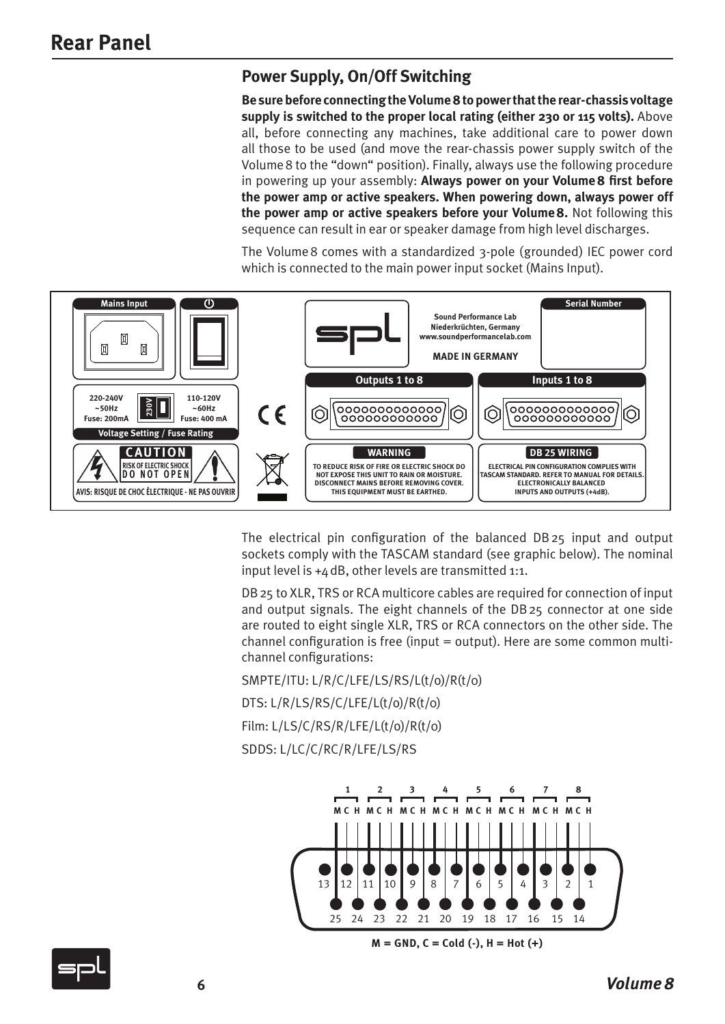### **Power Supply, On/Off Switching**

**Be sure before connecting the Volume8 to power that the rear-chassis voltage supply is switched to the proper local rating (either 230 or 115 volts).** Above all, before connecting any machines, take additional care to power down all those to be used (and move the rear-chassis power supply switch of the Volume8 to the "down" position). Finally, always use the following procedure in powering up your assembly: **Always power on your Volume8 first before the power amp or active speakers. When powering down, always power off the power amp or active speakers before your Volume8.** Not following this sequence can result in ear or speaker damage from high level discharges.

The Volume8 comes with a standardized 3-pole (grounded) IEC power cord which is connected to the main power input socket (Mains Input).



The electrical pin configuration of the balanced DB25 input and output sockets comply with the TASCAM standard (see graphic below). The nominal input level is +4dB, other levels are transmitted 1:1.

DB25 to XLR, TRS or RCA multicore cables are required for connection of input and output signals. The eight channels of the DB25 connector at one side are routed to eight single XLR, TRS or RCA connectors on the other side. The channel configuration is free (input = output). Here are some common multichannel configurations:

SMPTE/ITU: L/R/C/LFE/LS/RS/L(t/o)/R(t/0)

DTS: L/R/LS/RS/C/LFE/L(t/o)/R(t/0)

Film: L/LS/C/RS/R/LFE/L(t/o)/R(t/0)

SDDS: L/LC/C/RC/R/LFE/LS/RS



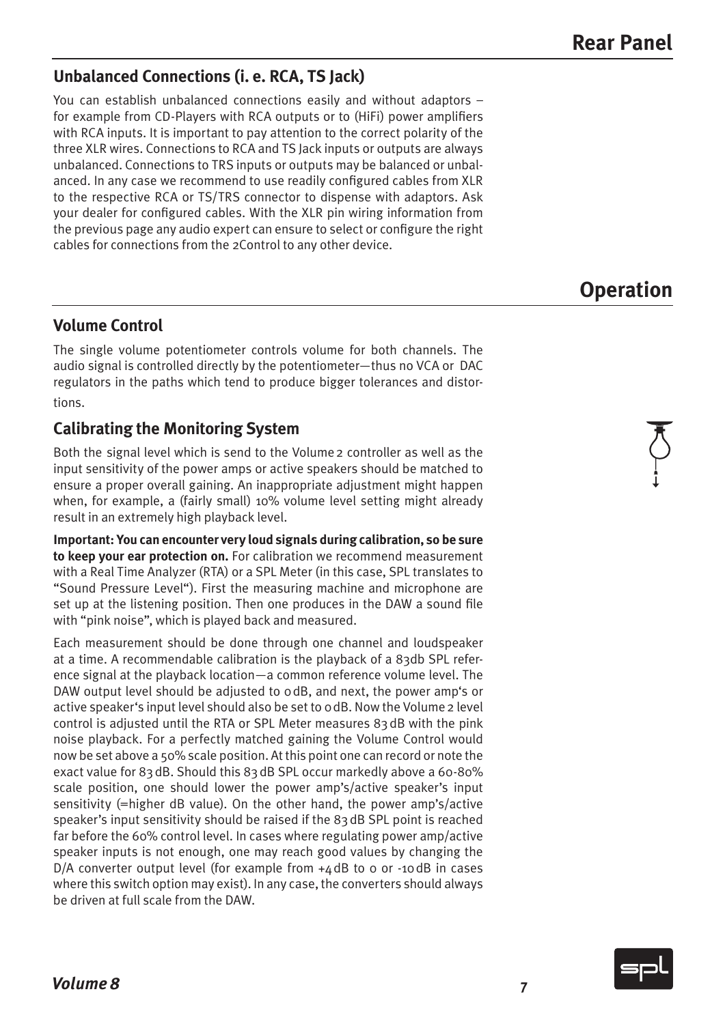### **Unbalanced Connections (i. e. RCA, TS Jack)**

You can establish unbalanced connections easily and without adaptors – for example from CD-Players with RCA outputs or to (HiFi) power amplifiers with RCA inputs. It is important to pay attention to the correct polarity of the three XLR wires. Connections to RCA and TS Jack inputs or outputs are always unbalanced. Connections to TRS inputs or outputs may be balanced or unbalanced. In any case we recommend to use readily configured cables from XLR to the respective RCA or TS/TRS connector to dispense with adaptors. Ask your dealer for configured cables. With the XLR pin wiring information from the previous page any audio expert can ensure to select or configure the right cables for connections from the 2Control to any other device.

# **Operation**

### **Volume Control**

The single volume potentiometer controls volume for both channels. The audio signal is controlled directly by the potentiometer—thus no VCA or DAC regulators in the paths which tend to produce bigger tolerances and distortions.

### **Calibrating the Monitoring System**

Both the signal level which is send to the Volume2 controller as well as the input sensitivity of the power amps or active speakers should be matched to ensure a proper overall gaining. An inappropriate adjustment might happen when, for example, a (fairly small) 10% volume level setting might already result in an extremely high playback level.

**Important: You can encounter very loud signals during calibration, so be sure to keep your ear protection on.** For calibration we recommend measurement with a Real Time Analyzer (RTA) or a SPL Meter (in this case, SPL translates to "Sound Pressure Level"). First the measuring machine and microphone are set up at the listening position. Then one produces in the DAW a sound file with "pink noise", which is played back and measured.

Each measurement should be done through one channel and loudspeaker at a time. A recommendable calibration is the playback of a 83db SPL reference signal at the playback location—a common reference volume level. The DAW output level should be adjusted to odB, and next, the power amp's or active speaker's input level should also be set to odB. Now the Volume 2 level control is adjusted until the RTA or SPL Meter measures 83dB with the pink noise playback. For a perfectly matched gaining the Volume Control would now be set above a 50% scale position. At this point one can record or note the exact value for 83dB. Should this 83dB SPL occur markedly above a 60-80% scale position, one should lower the power amp's/active speaker's input sensitivity (=higher dB value). On the other hand, the power amp's/active speaker's input sensitivity should be raised if the 83dB SPL point is reached far before the 60% control level. In cases where regulating power amp/active speaker inputs is not enough, one may reach good values by changing the  $D/A$  converter output level (for example from  $+4$  dB to 0 or  $-10$  dB in cases where this switch option may exist). In any case, the converters should always be driven at full scale from the DAW.

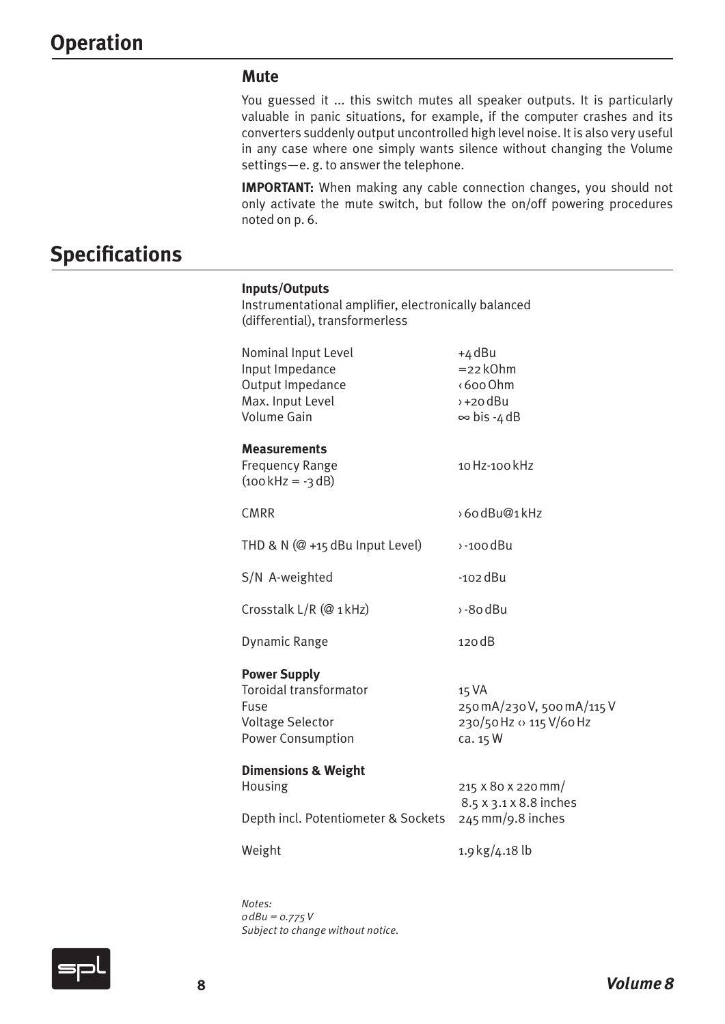#### **Mute**

You guessed it ... this switch mutes all speaker outputs. It is particularly valuable in panic situations, for example, if the computer crashes and its converters suddenly output uncontrolled high level noise. It is also very useful in any case where one simply wants silence without changing the Volume settings—e. g. to answer the telephone.

**IMPORTANT:** When making any cable connection changes, you should not only activate the mute switch, but follow the on/off powering procedures noted on p. 6.

## **Specifications**

#### **Inputs/Outputs**

Instrumentational amplifier, electronically balanced (differential), transformerless

| Nominal Input Level<br>Input Impedance<br>Output Impedance<br>Max. Input Level<br>Volume Gain                | +4 dBu<br>$= 22 kOhm$<br><600 Ohm<br>$+20$ dBu<br>$\infty$ bis -4 dB        |
|--------------------------------------------------------------------------------------------------------------|-----------------------------------------------------------------------------|
| <b>Measurements</b><br><b>Frequency Range</b><br>$(100 \text{ kHz} = -3 \text{ dB})$                         | 10 Hz-100 kHz                                                               |
| <b>CMRR</b>                                                                                                  | >60dBu@1kHz                                                                 |
| THD & N $(@ + 15$ dBu Input Level)                                                                           | $\rightarrow$ -100 dBu                                                      |
| S/N A-weighted                                                                                               | $-102$ dBu                                                                  |
| Crosstalk L/R (@ 1kHz)                                                                                       | $\rightarrow$ -80 dBu                                                       |
| Dynamic Range                                                                                                | 120 dB                                                                      |
| <b>Power Supply</b><br>Toroidal transformator<br>Fuse<br><b>Voltage Selector</b><br><b>Power Consumption</b> | 15 VA<br>250 mA/230 V, 500 mA/115 V<br>230/50 Hz <> 115 V/60 Hz<br>ca. 15 W |
| <b>Dimensions &amp; Weight</b><br>Housing<br>Depth incl. Potentiometer & Sockets                             | 215 x 80 x 220 mm/<br>8.5 x 3.1 x 8.8 inches<br>245 mm/9.8 inches           |
| Weight                                                                                                       | 1.9 kg/4.18 lb                                                              |

*Notes: 0dBu = 0.775V Subject to change without notice.*

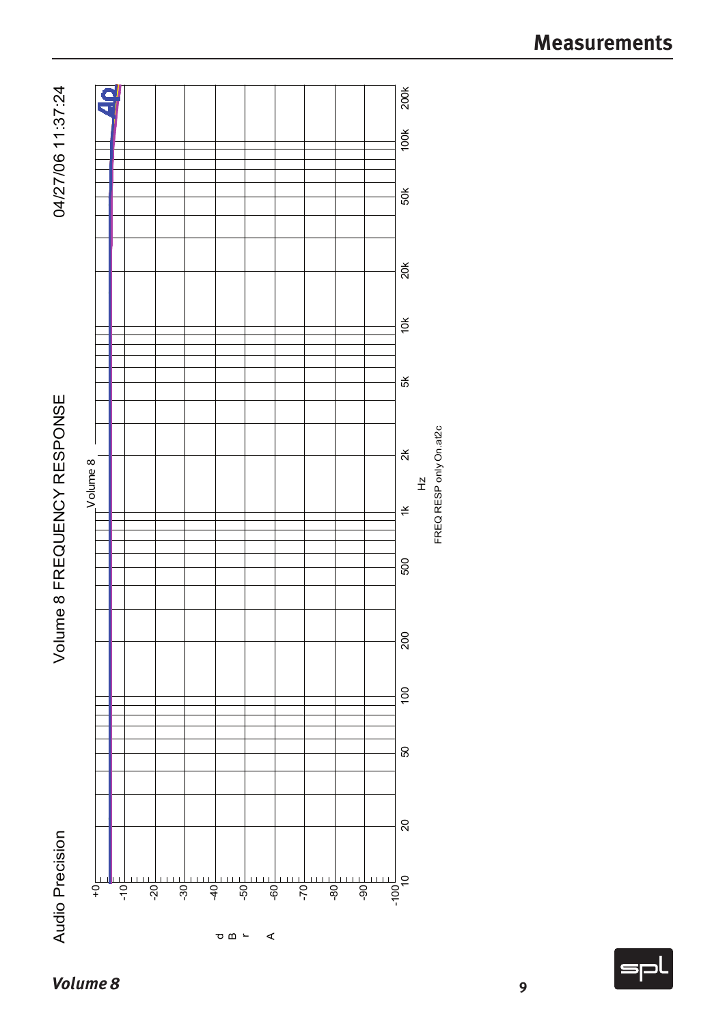

**9**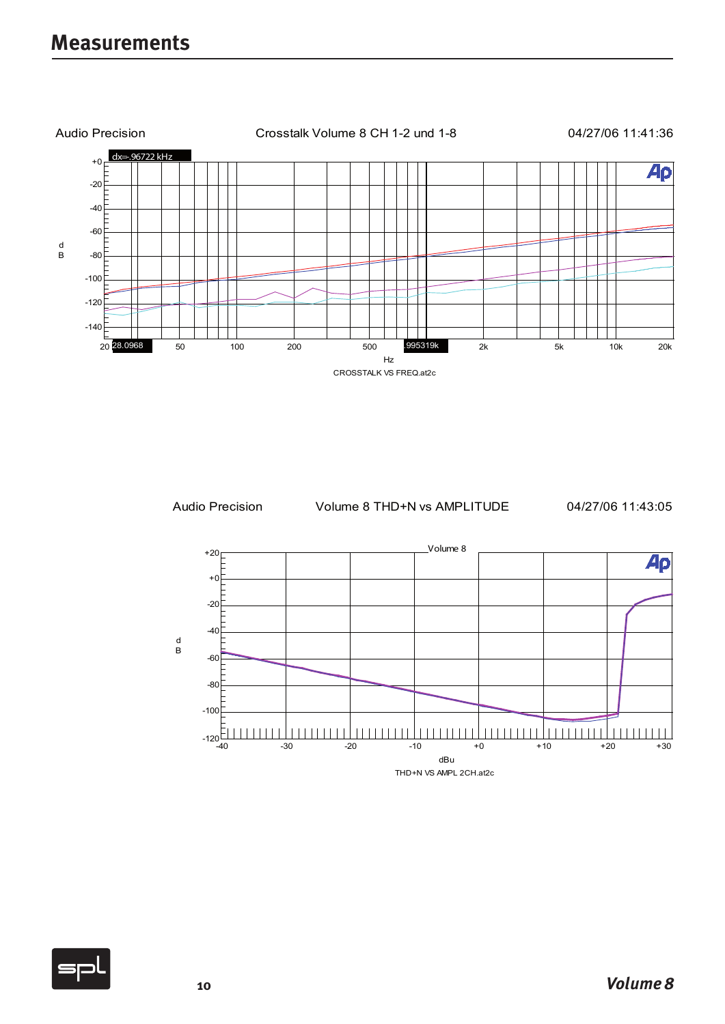